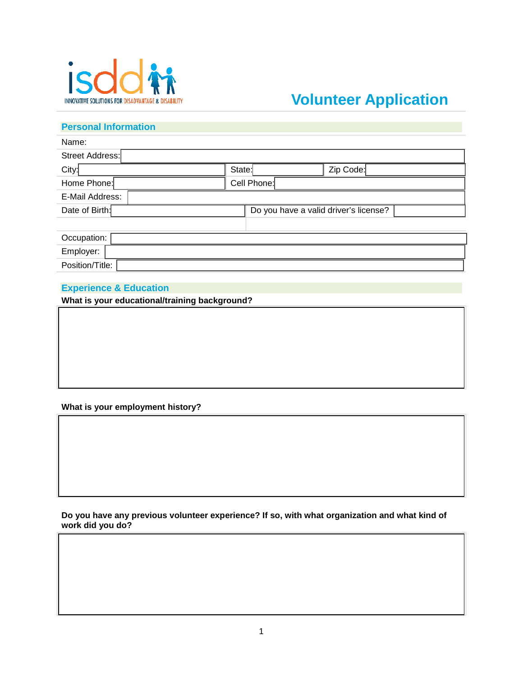

# **Volunteer Application**

## **Personal Information**

| Name:           |                                       |             |           |  |
|-----------------|---------------------------------------|-------------|-----------|--|
| Street Address: |                                       |             |           |  |
| City:           | State:                                |             | Zip Code: |  |
| Home Phone:     |                                       | Cell Phone: |           |  |
| E-Mail Address: |                                       |             |           |  |
| Date of Birth:  | Do you have a valid driver's license? |             |           |  |
|                 |                                       |             |           |  |
| Occupation:     |                                       |             |           |  |
| Employer:       |                                       |             |           |  |
| Position/Title: |                                       |             |           |  |

### **Experience & Education**

**What is your educational/training background?**

### **What is your employment history?**



**Do you have any previous volunteer experience? If so, with what organization and what kind of work did you do?**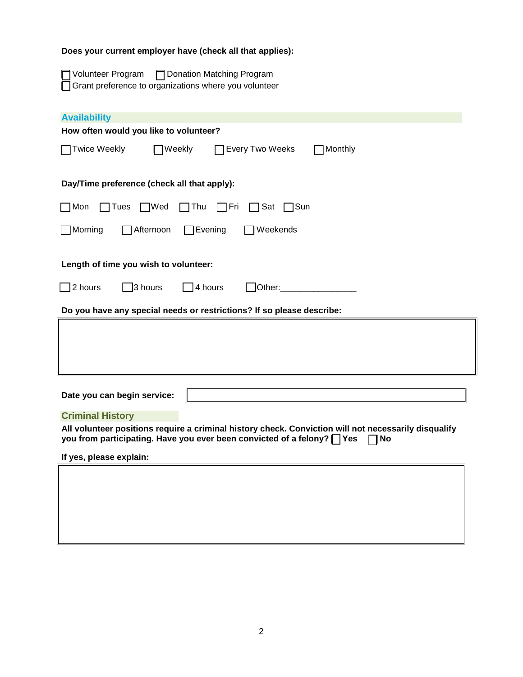# **Does your current employer have (check all that applies):**

| □ Volunteer Program | □ Donation Matching Program                             |
|---------------------|---------------------------------------------------------|
|                     | □ Grant preference to organizations where you volunteer |

| <b>Availability</b><br>How often would you like to volunteer?                                                                                                                                        |  |  |  |  |  |
|------------------------------------------------------------------------------------------------------------------------------------------------------------------------------------------------------|--|--|--|--|--|
| <b>Twice Weekly</b><br><b>Every Two Weeks</b><br>Weekly<br>TMonthly                                                                                                                                  |  |  |  |  |  |
| Day/Time preference (check all that apply):                                                                                                                                                          |  |  |  |  |  |
| $\sqcap$ Mon<br>$\Box$ Wed<br>$\sqcap$ Tues<br>$\Box$ Thu<br>$\Box$ Fri<br>$\Box$ Sat<br>ヿSun                                                                                                        |  |  |  |  |  |
| $\Box$ Morning<br>$\Box$ Afternoon<br>$\Box$ Evening<br>$\Box$ Weekends                                                                                                                              |  |  |  |  |  |
| Length of time you wish to volunteer:                                                                                                                                                                |  |  |  |  |  |
| $\Box$ 2 hours<br>$\Box$ 3 hours<br>$\Box$ 4 hours<br>Other:                                                                                                                                         |  |  |  |  |  |
| Do you have any special needs or restrictions? If so please describe:                                                                                                                                |  |  |  |  |  |
|                                                                                                                                                                                                      |  |  |  |  |  |
| Date you can begin service:                                                                                                                                                                          |  |  |  |  |  |
| <b>Criminal History</b>                                                                                                                                                                              |  |  |  |  |  |
| All volunteer positions require a criminal history check. Conviction will not necessarily disqualify<br>you from participating. Have you ever been convicted of a felony? $\bigcap$ Yes<br><b>No</b> |  |  |  |  |  |
| If yes, please explain:                                                                                                                                                                              |  |  |  |  |  |
|                                                                                                                                                                                                      |  |  |  |  |  |
|                                                                                                                                                                                                      |  |  |  |  |  |
|                                                                                                                                                                                                      |  |  |  |  |  |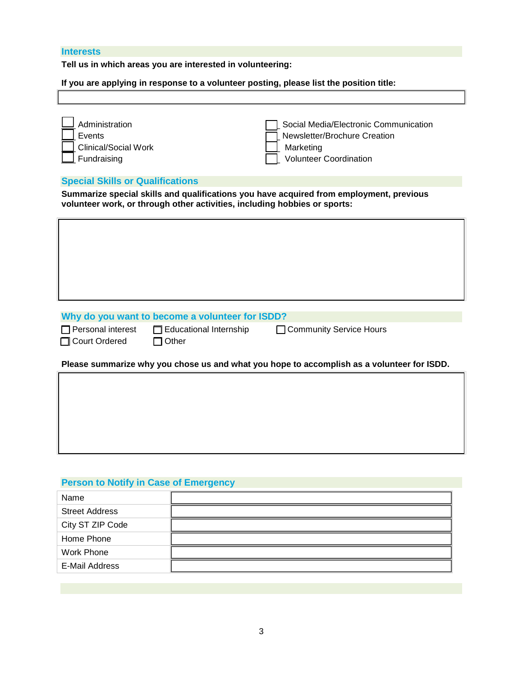### **Interests**

**Tell us in which areas you are interested in volunteering:** 

**If you are applying in response to a volunteer posting, please list the position title:**

| Administration<br>Events<br>Clinical/Social Work<br>Fundraising                                                                                                      | Social Media/Electronic Communication<br>Newsletter/Brochure Creation<br>Marketing<br><b>Volunteer Coordination</b> |  |
|----------------------------------------------------------------------------------------------------------------------------------------------------------------------|---------------------------------------------------------------------------------------------------------------------|--|
| <b>Special Skills or Qualifications</b>                                                                                                                              |                                                                                                                     |  |
| Summarize special skills and qualifications you have acquired from employment, previous<br>volunteer work, or through other activities, including hobbies or sports: |                                                                                                                     |  |
|                                                                                                                                                                      |                                                                                                                     |  |
|                                                                                                                                                                      |                                                                                                                     |  |
|                                                                                                                                                                      |                                                                                                                     |  |
|                                                                                                                                                                      |                                                                                                                     |  |
|                                                                                                                                                                      |                                                                                                                     |  |
| Why do you want to become a volunteer for ISDD?                                                                                                                      |                                                                                                                     |  |

**Why do you want to become a volunteer for ISDD?**

□ Court Ordered □ Other

□ Personal interest □ Educational Internship □ Community Service Hours

### **Please summarize why you chose us and what you hope to accomplish as a volunteer for ISDD.**

# **Person to Notify in Case of Emergency**

| Name                  |  |
|-----------------------|--|
| <b>Street Address</b> |  |
| City ST ZIP Code      |  |
| Home Phone            |  |
| Work Phone            |  |
| E-Mail Address        |  |